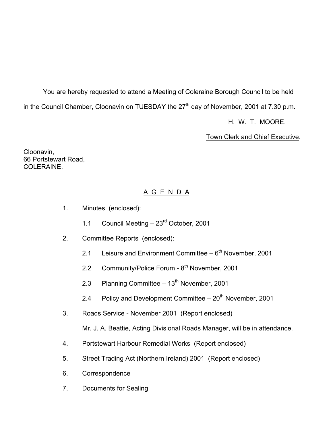You are hereby requested to attend a Meeting of Coleraine Borough Council to be held in the Council Chamber, Cloonavin on TUESDAY the  $27<sup>th</sup>$  day of November, 2001 at 7.30 p.m.

H. W. T. MOORE,

Town Clerk and Chief Executive.

Cloonavin, 66 Portstewart Road, COLERAINE.

# A G E N D A

- 1. Minutes (enclosed):
	- 1.1 Council Meeting 23<sup>rd</sup> October, 2001
- 2. Committee Reports (enclosed):
	- 2.1 Leisure and Environment Committee  $-6<sup>th</sup>$  November, 2001
	- 2.2 Community/Police Forum 8<sup>th</sup> November, 2001
	- 2.3 Planning Committee  $-13<sup>th</sup>$  November, 2001
	- 2.4 Policy and Development Committee  $-20<sup>th</sup>$  November, 2001
- 3. Roads Service November 2001 (Report enclosed)

Mr. J. A. Beattie, Acting Divisional Roads Manager, will be in attendance.

- 4. Portstewart Harbour Remedial Works (Report enclosed)
- 5. Street Trading Act (Northern Ireland) 2001 (Report enclosed)
- 6. Correspondence
- 7. Documents for Sealing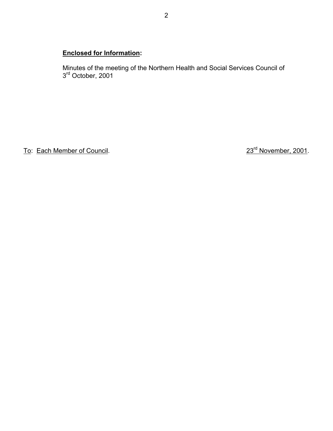# **Enclosed for Information:**

 Minutes of the meeting of the Northern Health and Social Services Council of 3<sup>rd</sup> October, 2001

To: Each Member of Council. 23<sup>rd</sup> November, 2001.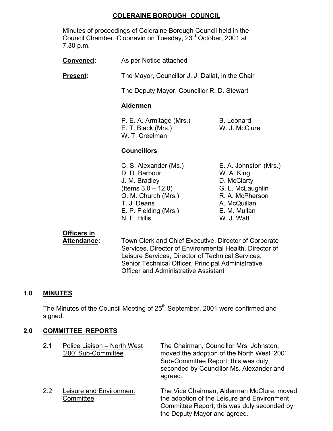## **COLERAINE BOROUGH COUNCIL**

 Minutes of proceedings of Coleraine Borough Council held in the Council Chamber, Cloonavin on Tuesday, 23rd October, 2001 at 7.30 p.m.

**Convened:** As per Notice attached

**Present:** The Mayor, Councillor J. J. Dallat, in the Chair

The Deputy Mayor, Councillor R. D. Stewart

## **Aldermen**

P. E. A. Armitage (Mrs.) B. Leonard E. T. Black (Mrs.) W. J. McClure W. T. Creelman

## **Councillors**

 C. S. Alexander (Ms.) E. A. Johnston (Mrs.) D. D. Barbour W. A. King J. M. Bradley D. McClarty (Items 3.0 – 12.0) G. L. McLaughlin O. M. Church (Mrs.) R. A. McPherson T. J. Deans A. McQuillan E. P. Fielding (Mrs.) E. M. Mullan N. F. Hillis W. J. Watt

# **Officers in**

 **Attendance:** Town Clerk and Chief Executive, Director of Corporate Services, Director of Environmental Health, Director of Leisure Services, Director of Technical Services, Senior Technical Officer, Principal Administrative Officer and Administrative Assistant

the Deputy Mayor and agreed.

# **1.0 MINUTES**

The Minutes of the Council Meeting of 25<sup>th</sup> September, 2001 were confirmed and signed.

## **2.0 COMMITTEE REPORTS**

| 2.1 | Police Liaison - North West<br>'200' Sub-Committee | The Chairman, Councillor Mrs. Johnston,<br>moved the adoption of the North West '200'<br>Sub-Committee Report; this was duly<br>seconded by Councillor Ms. Alexander and<br>agreed. |
|-----|----------------------------------------------------|-------------------------------------------------------------------------------------------------------------------------------------------------------------------------------------|
| 22  | Leisure and Environment<br>Committee               | The Vice Chairman, Alderman McClure, moved<br>the adoption of the Leisure and Environment<br>Committee Report; this was duly seconded by                                            |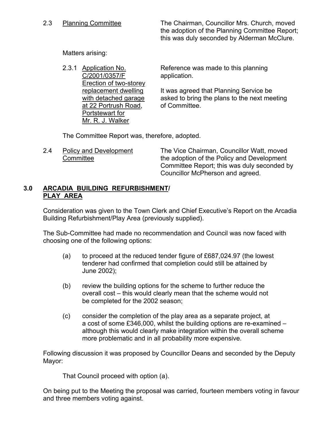2.3 Planning Committee The Chairman, Councillor Mrs. Church, moved the adoption of the Planning Committee Report; this was duly seconded by Alderman McClure.

Matters arising:

2.3.1 Application No. Reference was made to this planning C/2001/0357/F application. Erection of two-storey replacement dwelling It was agreed that Planning Service be with detached garage asked to bring the plans to the next meeting at 22 Portrush Road, of Committee. Portstewart for Mr. R. J. Walker

The Committee Report was, therefore, adopted.

 2.4 Policy and Development The Vice Chairman, Councillor Watt, moved Committee **the adoption of the Policy and Development**  Committee Report; this was duly seconded by Councillor McPherson and agreed.

#### **3.0 ARCADIA BUILDING REFURBISHMENT/ PLAY AREA**

 Consideration was given to the Town Clerk and Chief Executive's Report on the Arcadia Building Refurbishment/Play Area (previously supplied).

 The Sub-Committee had made no recommendation and Council was now faced with choosing one of the following options:

- (a) to proceed at the reduced tender figure of £687,024.97 (the lowest tenderer had confirmed that completion could still be attained by June 2002);
- (b) review the building options for the scheme to further reduce the overall cost – this would clearly mean that the scheme would not be completed for the 2002 season;
- (c) consider the completion of the play area as a separate project, at a cost of some £346,000, whilst the building options are re-examined – although this would clearly make integration within the overall scheme more problematic and in all probability more expensive.

 Following discussion it was proposed by Councillor Deans and seconded by the Deputy Mayor:

That Council proceed with option (a).

 On being put to the Meeting the proposal was carried, fourteen members voting in favour and three members voting against.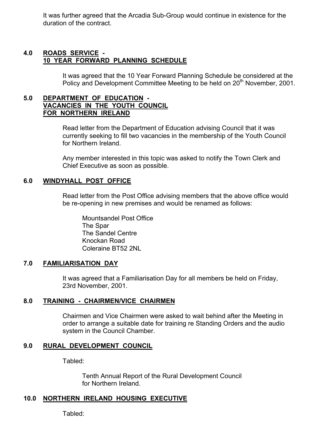It was further agreed that the Arcadia Sub-Group would continue in existence for the duration of the contract.

#### **4.0 ROADS SERVICE - 10 YEAR FORWARD PLANNING SCHEDULE**

 It was agreed that the 10 Year Forward Planning Schedule be considered at the Policy and Development Committee Meeting to be held on 20<sup>th</sup> November, 2001.

## **5.0 DEPARTMENT OF EDUCATION - VACANCIES IN THE YOUTH COUNCIL FOR NORTHERN IRELAND**

 Read letter from the Department of Education advising Council that it was currently seeking to fill two vacancies in the membership of the Youth Council for Northern Ireland.

 Any member interested in this topic was asked to notify the Town Clerk and Chief Executive as soon as possible.

## **6.0 WINDYHALL POST OFFICE**

 Read letter from the Post Office advising members that the above office would be re-opening in new premises and would be renamed as follows:

 Mountsandel Post Office The Spar The Sandel Centre Knockan Road Coleraine BT52 2NL

## **7.0 FAMILIARISATION DAY**

It was agreed that a Familiarisation Day for all members be held on Friday, 23rd November, 2001.

#### **8.0 TRAINING - CHAIRMEN/VICE CHAIRMEN**

 Chairmen and Vice Chairmen were asked to wait behind after the Meeting in order to arrange a suitable date for training re Standing Orders and the audio system in the Council Chamber.

## **9.0 RURAL DEVELOPMENT COUNCIL**

Tabled:

 Tenth Annual Report of the Rural Development Council for Northern Ireland.

# **10.0 NORTHERN IRELAND HOUSING EXECUTIVE**

Tabled: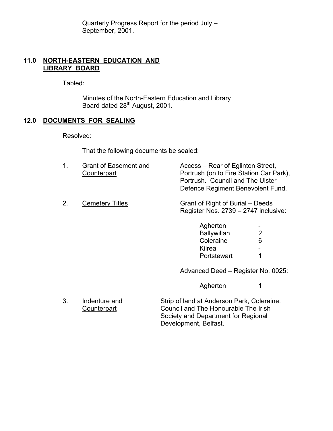Quarterly Progress Report for the period July – September, 2001.

## **11.0 NORTH-EASTERN EDUCATION AND LIBRARY BOARD**

Tabled:

 Minutes of the North-Eastern Education and Library Board dated 28<sup>th</sup> August, 2001.

## **12.0 DOCUMENTS FOR SEALING**

Resolved:

That the following documents be sealed:

|    | <b>Grant of Easement and</b><br>Counterpart | Access – Rear of Eglinton Street,<br>Portrush (on to Fire Station Car Park),<br>Portrush. Council and The Ulster<br>Defence Regiment Benevolent Fund. |
|----|---------------------------------------------|-------------------------------------------------------------------------------------------------------------------------------------------------------|
| 2. | <b>Cemetery Titles</b>                      | Grant of Right of Burial – Deeds<br>Register Nos. 2739 - 2747 inclusive:                                                                              |

| Agherton    | $\overline{\phantom{a}}$ |
|-------------|--------------------------|
| Ballywillan | $\overline{2}$           |
| Coleraine   | 6                        |
| Kilrea      | -                        |
| Portstewart | -1                       |
|             |                          |

Advanced Deed – Register No. 0025:

Agherton 1

- 3. Indenture and Strip of land at Anderson Park, Coleraine. Counterpart Council and The Honourable The Irish Society and Department for Regional Development, Belfast.
-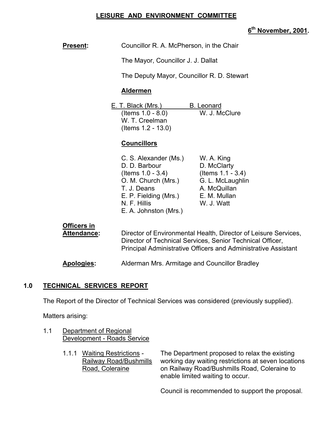## **LEISURE AND ENVIRONMENT COMMITTEE**

## **6th November, 2001.**

| <b>Present:</b> | Councillor R. A. McPherson, in the Chair |
|-----------------|------------------------------------------|
|-----------------|------------------------------------------|

The Mayor, Councillor J. J. Dallat

The Deputy Mayor, Councillor R. D. Stewart

#### **Aldermen**

| E. T. Black (Mrs.)    | <b>B.</b> Leonard |
|-----------------------|-------------------|
| (Items $1.0 - 8.0$ )  | W. J. McClure     |
| W. T. Creelman        |                   |
| (Items $1.2 - 13.0$ ) |                   |

#### **Councillors**

| C. S. Alexander (Ms.) | W. A. King        |
|-----------------------|-------------------|
| D. D. Barbour         | D. McClarty       |
| (Items $1.0 - 3.4$ )  | (Items 1.1 - 3.4) |
| O. M. Church (Mrs.)   | G. L. McLaughlin  |
| T. J. Deans           | A. McQuillan      |
| E. P. Fielding (Mrs.) | E. M. Mullan      |
| N. F. Hillis          | W. J. Watt        |
| E. A. Johnston (Mrs.) |                   |

## **Officers in**

Attendance: Director of Environmental Health, Director of Leisure Services, Director of Technical Services, Senior Technical Officer, Principal Administrative Officers and Administrative Assistant

**Apologies:** Alderman Mrs. Armitage and Councillor Bradley

## **1.0 TECHNICAL SERVICES REPORT**

The Report of the Director of Technical Services was considered (previously supplied).

Matters arising:

- 1.1 Department of Regional Development - Roads Service
	-

1.1.1 Waiting Restrictions - The Department proposed to relax the existing Railway Road/Bushmills working day waiting restrictions at seven locations Road, Coleraine on Railway Road/Bushmills Road, Coleraine to enable limited waiting to occur.

Council is recommended to support the proposal.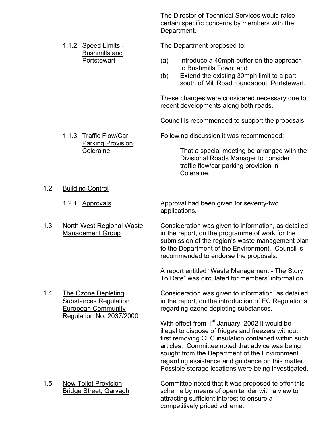The Director of Technical Services would raise certain specific concerns by members with the Department.

Bushmills and

Parking Provision,

1.1.2 Speed Limits - The Department proposed to:

- Portstewart (a) Introduce a 40mph buffer on the approach to Bushmills Town; and
	- (b) Extend the existing 30mph limit to a part south of Mill Road roundabout, Portstewart.

 These changes were considered necessary due to recent developments along both roads.

Council is recommended to support the proposals.

1.1.3 Traffic Flow/Car Following discussion it was recommended:

 Coleraine That a special meeting be arranged with the Divisional Roads Manager to consider traffic flow/car parking provision in Coleraine.

1.2 Building Control

1.2.1 Approvals Approval had been given for seventy-two applications.

 1.3 North West Regional Waste Consideration was given to information, as detailed Management Group in the report, on the programme of work for the submission of the region's waste management plan to the Department of the Environment. Council is recommended to endorse the proposals.

> A report entitled "Waste Management - The Story To Date" was circulated for members' information.

Regulation No. 2037/2000

1.4 The Ozone Depleting Consideration was given to information, as detailed Substances Regulation in the report, on the introduction of EC Regulations European Community regarding ozone depleting substances.

> With effect from 1<sup>st</sup> January, 2002 it would be illegal to dispose of fridges and freezers without first removing CFC insulation contained within such articles. Committee noted that advice was being sought from the Department of the Environment regarding assistance and guidance on this matter. Possible storage locations were being investigated.

 1.5 New Toilet Provision - Committee noted that it was proposed to offer this Bridge Street, Garvagh scheme by means of open tender with a view to attracting sufficient interest to ensure a competitively priced scheme.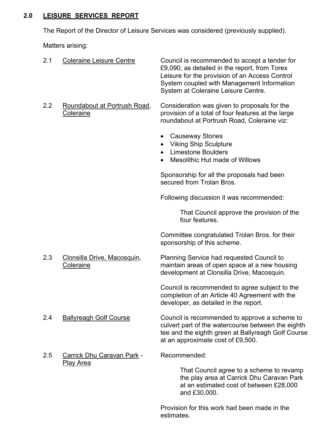# **2.0 LEISURE SERVICES REPORT**

The Report of the Director of Leisure Services was considered (previously supplied).

Matters arising:

| 2.1 | <b>Coleraine Leisure Centre</b>                 | Council is recommended to accept a tender for<br>£9,090, as detailed in the report, from Torex<br>Leisure for the provision of an Access Control<br>System coupled with Management Information<br>System at Coleraine Leisure Centre. |
|-----|-------------------------------------------------|---------------------------------------------------------------------------------------------------------------------------------------------------------------------------------------------------------------------------------------|
| 2.2 | Roundabout at Portrush Road,<br>Coleraine       | Consideration was given to proposals for the<br>provision of a total of four features at the large<br>roundabout at Portrush Road, Coleraine viz:                                                                                     |
|     |                                                 | <b>Causeway Stones</b><br>$\bullet$<br><b>Viking Ship Sculpture</b><br>$\bullet$<br><b>Limestone Boulders</b><br>$\bullet$<br>Mesolithic Hut made of Willows                                                                          |
|     |                                                 | Sponsorship for all the proposals had been<br>secured from Trolan Bros.                                                                                                                                                               |
|     |                                                 | Following discussion it was recommended:                                                                                                                                                                                              |
|     |                                                 | That Council approve the provision of the<br>four features.                                                                                                                                                                           |
|     |                                                 | Committee congratulated Trolan Bros. for their<br>sponsorship of this scheme.                                                                                                                                                         |
| 2.3 | Clonsilla Drive, Macosquin,<br><b>Coleraine</b> | Planning Service had requested Council to<br>maintain areas of open space at a new housing<br>development at Clonsilla Drive, Macosquin.                                                                                              |
|     |                                                 | Council is recommended to agree subject to the<br>completion of an Article 40 Agreement with the<br>developer, as detailed in the report.                                                                                             |
| 2.4 | <b>Ballyreagh Golf Course</b>                   | Council is recommended to approve a scheme to<br>culvert part of the watercourse between the eighth<br>tee and the eighth green at Ballyreagh Golf Course<br>at an approximate cost of £9,500.                                        |
| 2.5 | Carrick Dhu Caravan Park -                      | Recommended:                                                                                                                                                                                                                          |
|     | Play Area                                       | That Council agree to a scheme to revamp<br>the play area at Carrick Dhu Caravan Park<br>at an estimated cost of between £28,000<br>and £30,000.                                                                                      |

 Provision for this work had been made in the estimates.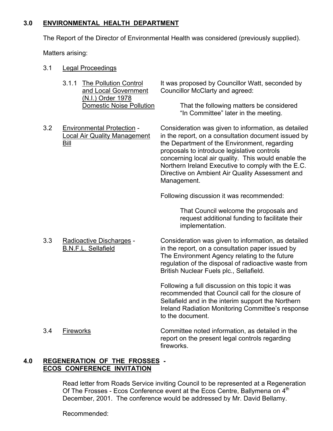## **3.0 ENVIRONMENTAL HEALTH DEPARTMENT**

The Report of the Director of Environmental Health was considered (previously supplied).

Matters arising:

- 3.1 Legal Proceedings
	- (N.I.) Order 1978<br>Domestic Noise Pollution
- 

3.1.1 The Pollution Control It was proposed by Councillor Watt, seconded by and Local Government Councillor McClarty and agreed: Councillor McClarty and agreed:

> That the following matters be considered "In Committee" later in the meeting.

3.2 Environmental Protection - Consideration was given to information, as detailed Local Air Quality Management in the report, on a consultation document issued by Bill **Bill** the Department of the Environment, regarding proposals to introduce legislative controls concerning local air quality. This would enable the Northern Ireland Executive to comply with the E.C. Directive on Ambient Air Quality Assessment and Management.

Following discussion it was recommended:

 That Council welcome the proposals and request additional funding to facilitate their implementation.

 3.3 Radioactive Discharges - Consideration was given to information, as detailed B.N.F.L. Sellafield in the report, on a consultation paper issued by The Environment Agency relating to the future regulation of the disposal of radioactive waste from British Nuclear Fuels plc., Sellafield.

> Following a full discussion on this topic it was recommended that Council call for the closure of Sellafield and in the interim support the Northern Ireland Radiation Monitoring Committee's response to the document.

 3.4 Fireworks Committee noted information, as detailed in the report on the present legal controls regarding fireworks.

#### **4.0 REGENERATION OF THE FROSSES - ECOS CONFERENCE INVITATION**

 Read letter from Roads Service inviting Council to be represented at a Regeneration Of The Frosses - Ecos Conference event at the Ecos Centre, Ballymena on 4<sup>th</sup> December, 2001. The conference would be addressed by Mr. David Bellamy.

Recommended: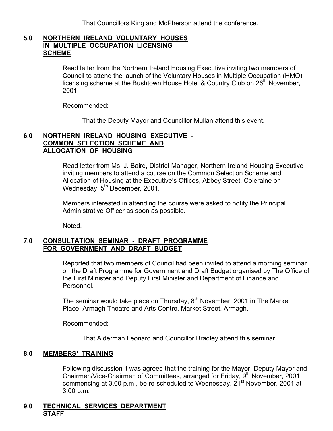That Councillors King and McPherson attend the conference.

#### **5.0 NORTHERN IRELAND VOLUNTARY HOUSES IN MULTIPLE OCCUPATION LICENSING SCHEME**

Read letter from the Northern Ireland Housing Executive inviting two members of Council to attend the launch of the Voluntary Houses in Multiple Occupation (HMO) licensing scheme at the Bushtown House Hotel & Country Club on 26<sup>th</sup> November, 2001.

Recommended:

That the Deputy Mayor and Councillor Mullan attend this event.

#### **6.0 NORTHERN IRELAND HOUSING EXECUTIVE - COMMON SELECTION SCHEME AND ALLOCATION OF HOUSING**

 Read letter from Ms. J. Baird, District Manager, Northern Ireland Housing Executive inviting members to attend a course on the Common Selection Scheme and Allocation of Housing at the Executive's Offices, Abbey Street, Coleraine on Wednesday, 5<sup>th</sup> December, 2001.

Members interested in attending the course were asked to notify the Principal Administrative Officer as soon as possible.

Noted.

#### **7.0 CONSULTATION SEMINAR - DRAFT PROGRAMME FOR GOVERNMENT AND DRAFT BUDGET**

 Reported that two members of Council had been invited to attend a morning seminar on the Draft Programme for Government and Draft Budget organised by The Office of the First Minister and Deputy First Minister and Department of Finance and Personnel.

The seminar would take place on Thursday,  $8<sup>th</sup>$  November, 2001 in The Market Place, Armagh Theatre and Arts Centre, Market Street, Armagh.

Recommended:

That Alderman Leonard and Councillor Bradley attend this seminar.

#### **8.0 MEMBERS' TRAINING**

 Following discussion it was agreed that the training for the Mayor, Deputy Mayor and Chairmen/Vice-Chairmen of Committees, arranged for Friday, 9<sup>th</sup> November, 2001 commencing at 3.00 p.m., be re-scheduled to Wednesday,  $21^{st}$  November, 2001 at 3.00 p.m.

#### **9.0 TECHNICAL SERVICES DEPARTMENT STAFF**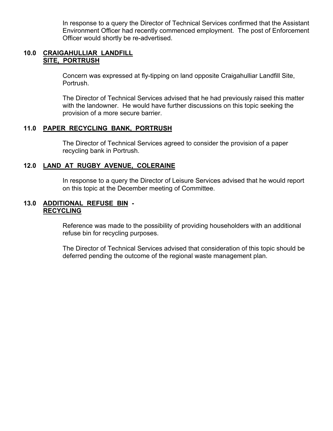In response to a query the Director of Technical Services confirmed that the Assistant Environment Officer had recently commenced employment. The post of Enforcement Officer would shortly be re-advertised.

#### **10.0 CRAIGAHULLIAR LANDFILL SITE, PORTRUSH**

 Concern was expressed at fly-tipping on land opposite Craigahulliar Landfill Site, Portrush.

 The Director of Technical Services advised that he had previously raised this matter with the landowner. He would have further discussions on this topic seeking the provision of a more secure barrier.

#### **11.0 PAPER RECYCLING BANK, PORTRUSH**

 The Director of Technical Services agreed to consider the provision of a paper recycling bank in Portrush.

## **12.0 LAND AT RUGBY AVENUE, COLERAINE**

 In response to a query the Director of Leisure Services advised that he would report on this topic at the December meeting of Committee.

#### **13.0 ADDITIONAL REFUSE BIN - RECYCLING**

 Reference was made to the possibility of providing householders with an additional refuse bin for recycling purposes.

 The Director of Technical Services advised that consideration of this topic should be deferred pending the outcome of the regional waste management plan.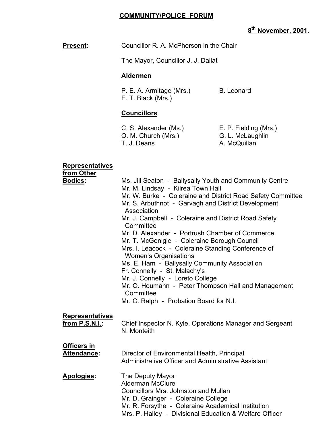## **COMMUNITY/POLICE FORUM**

# **8th November, 2001.**

# **Present:** Councillor R. A. McPherson in the Chair

The Mayor, Councillor J. J. Dallat

# **Aldermen**

P. E. A. Armitage (Mrs.) B. Leonard E. T. Black (Mrs.)

### **Councillors**

 C. S. Alexander (Ms.) E. P. Fielding (Mrs.) O. M. Church (Mrs.) G. L. McLaughlin T. J. Deans A. McQuillan

#### **Representatives**

 **from Other**

| <b>Bodies:</b>         | Ms. Jill Seaton - Ballysally Youth and Community Centre<br>Mr. M. Lindsay - Kilrea Town Hall<br>Mr. W. Burke - Coleraine and District Road Safety Committee<br>Mr. S. Arbuthnot - Garvagh and District Development<br>Association<br>Mr. J. Campbell - Coleraine and District Road Safety<br>Committee<br>Mr. D. Alexander - Portrush Chamber of Commerce<br>Mr. T. McGonigle - Coleraine Borough Council<br>Mrs. I. Leacock - Coleraine Standing Conference of<br>Women's Organisations<br>Ms. E. Ham - Ballysally Community Association<br>Fr. Connelly - St. Malachy's<br>Mr. J. Connelly - Loreto College<br>Mr. O. Houmann - Peter Thompson Hall and Management<br>Committee<br>Mr. C. Ralph - Probation Board for N.I. |
|------------------------|------------------------------------------------------------------------------------------------------------------------------------------------------------------------------------------------------------------------------------------------------------------------------------------------------------------------------------------------------------------------------------------------------------------------------------------------------------------------------------------------------------------------------------------------------------------------------------------------------------------------------------------------------------------------------------------------------------------------------|
| <b>Representatives</b> | Chief Inspector N. Kyle, Operations Manager and Sergeant                                                                                                                                                                                                                                                                                                                                                                                                                                                                                                                                                                                                                                                                     |
| from P.S.N.I.:         | N. Monteith                                                                                                                                                                                                                                                                                                                                                                                                                                                                                                                                                                                                                                                                                                                  |
| <b>Officers in</b>     | Director of Environmental Health, Principal                                                                                                                                                                                                                                                                                                                                                                                                                                                                                                                                                                                                                                                                                  |
| <b>Attendance:</b>     | Administrative Officer and Administrative Assistant                                                                                                                                                                                                                                                                                                                                                                                                                                                                                                                                                                                                                                                                          |
| Apologies:             | The Deputy Mayor<br><b>Alderman McClure</b><br>Councillors Mrs. Johnston and Mullan<br>Mr. D. Grainger - Coleraine College<br>Mr. R. Forsythe - Coleraine Academical Institution<br>Mrs. P. Halley - Divisional Education & Welfare Officer                                                                                                                                                                                                                                                                                                                                                                                                                                                                                  |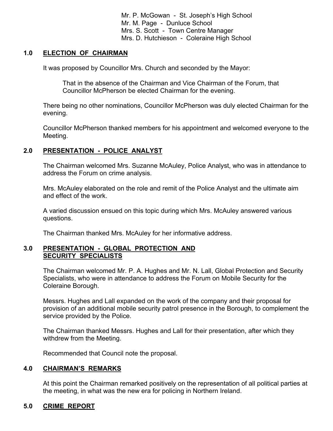Mr. P. McGowan - St. Joseph's High School Mr. M. Page - Dunluce School Mrs. S. Scott - Town Centre Manager Mrs. D. Hutchieson - Coleraine High School

#### **1.0 ELECTION OF CHAIRMAN**

It was proposed by Councillor Mrs. Church and seconded by the Mayor:

 That in the absence of the Chairman and Vice Chairman of the Forum, that Councillor McPherson be elected Chairman for the evening.

There being no other nominations, Councillor McPherson was duly elected Chairman for the evening.

Councillor McPherson thanked members for his appointment and welcomed everyone to the Meeting.

## **2.0 PRESENTATION - POLICE ANALYST**

 The Chairman welcomed Mrs. Suzanne McAuley, Police Analyst, who was in attendance to address the Forum on crime analysis.

 Mrs. McAuley elaborated on the role and remit of the Police Analyst and the ultimate aim and effect of the work.

 A varied discussion ensued on this topic during which Mrs. McAuley answered various questions.

The Chairman thanked Mrs. McAuley for her informative address.

#### **3.0 PRESENTATION - GLOBAL PROTECTION AND SECURITY SPECIALISTS**

The Chairman welcomed Mr. P. A. Hughes and Mr. N. Lall, Global Protection and Security Specialists, who were in attendance to address the Forum on Mobile Security for the Coleraine Borough.

Messrs. Hughes and Lall expanded on the work of the company and their proposal for provision of an additional mobile security patrol presence in the Borough, to complement the service provided by the Police.

The Chairman thanked Messrs. Hughes and Lall for their presentation, after which they withdrew from the Meeting.

Recommended that Council note the proposal.

#### **4.0 CHAIRMAN'S REMARKS**

At this point the Chairman remarked positively on the representation of all political parties at the meeting, in what was the new era for policing in Northern Ireland.

#### **5.0 CRIME REPORT**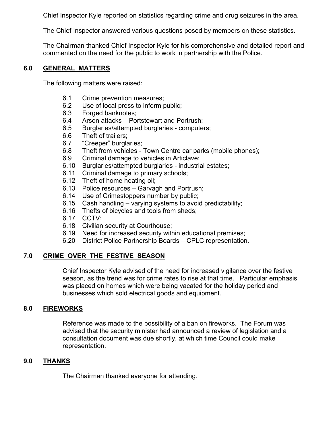Chief Inspector Kyle reported on statistics regarding crime and drug seizures in the area.

The Chief Inspector answered various questions posed by members on these statistics.

The Chairman thanked Chief Inspector Kyle for his comprehensive and detailed report and commented on the need for the public to work in partnership with the Police.

#### **6.0 GENERAL MATTERS**

The following matters were raised:

- 6.1 Crime prevention measures;
- 6.2 Use of local press to inform public;
- 6.3 Forged banknotes;
- 6.4 Arson attacks Portstewart and Portrush;
- 6.5 Burglaries/attempted burglaries computers;
- 6.6 Theft of trailers;
- 6.7 "Creeper" burglaries;
- 6.8 Theft from vehicles Town Centre car parks (mobile phones);
- 6.9 Criminal damage to vehicles in Articlave;
- 6.10 Burglaries/attempted burglaries industrial estates;
- 6.11 Criminal damage to primary schools;
- 6.12 Theft of home heating oil;
- 6.13 Police resources Garvagh and Portrush;
- 6.14 Use of Crimestoppers number by public;
- 6.15 Cash handling varying systems to avoid predictability;
- 6.16 Thefts of bicycles and tools from sheds;
- 6.17 CCTV;
- 6.18 Civilian security at Courthouse;
- 6.19 Need for increased security within educational premises;
- 6.20 District Police Partnership Boards CPLC representation.

# **7.0 CRIME OVER THE FESTIVE SEASON**

 Chief Inspector Kyle advised of the need for increased vigilance over the festive season, as the trend was for crime rates to rise at that time. Particular emphasis was placed on homes which were being vacated for the holiday period and businesses which sold electrical goods and equipment.

## **8.0 FIREWORKS**

 Reference was made to the possibility of a ban on fireworks. The Forum was advised that the security minister had announced a review of legislation and a consultation document was due shortly, at which time Council could make representation.

## **9.0 THANKS**

The Chairman thanked everyone for attending.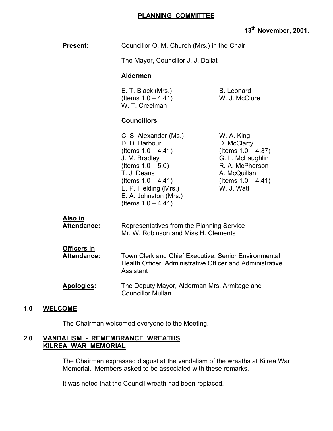## **PLANNING COMMITTEE**

# **13th November, 2001.**

|     | <b>Present:</b>                          | Councillor O. M. Church (Mrs.) in the Chair                                                                                                                                                                                 |                                                                                                                                                  |
|-----|------------------------------------------|-----------------------------------------------------------------------------------------------------------------------------------------------------------------------------------------------------------------------------|--------------------------------------------------------------------------------------------------------------------------------------------------|
|     |                                          | The Mayor, Councillor J. J. Dallat                                                                                                                                                                                          |                                                                                                                                                  |
|     |                                          | <b>Aldermen</b>                                                                                                                                                                                                             |                                                                                                                                                  |
|     |                                          | E. T. Black (Mrs.)<br>(Items $1.0 - 4.41$ )<br>W. T. Creelman                                                                                                                                                               | <b>B.</b> Leonard<br>W. J. McClure                                                                                                               |
|     |                                          | <b>Councillors</b>                                                                                                                                                                                                          |                                                                                                                                                  |
|     |                                          | C. S. Alexander (Ms.)<br>D. D. Barbour<br>(Items $1.0 - 4.41$ )<br>J. M. Bradley<br>(Items $1.0 - 5.0$ )<br>T. J. Deans<br>(Items $1.0 - 4.41$ )<br>E. P. Fielding (Mrs.)<br>E. A. Johnston (Mrs.)<br>(Items $1.0 - 4.41$ ) | W. A. King<br>D. McClarty<br>(Items $1.0 - 4.37$ )<br>G. L. McLaughlin<br>R. A. McPherson<br>A. McQuillan<br>(Items $1.0 - 4.41$ )<br>W. J. Watt |
|     | <u>Also in</u><br>Attendance:            | Representatives from the Planning Service -<br>Mr. W. Robinson and Miss H. Clements                                                                                                                                         |                                                                                                                                                  |
|     | <b>Officers in</b><br><b>Attendance:</b> | Town Clerk and Chief Executive, Senior Environmental<br>Health Officer, Administrative Officer and Administrative<br>Assistant                                                                                              |                                                                                                                                                  |
|     | Apologies:                               | The Deputy Mayor, Alderman Mrs. Armitage and<br><b>Councillor Mullan</b>                                                                                                                                                    |                                                                                                                                                  |
| 1.0 | <b>WELCOME</b>                           |                                                                                                                                                                                                                             |                                                                                                                                                  |
|     |                                          | The Chairman welcomed everyone to the Meeting.                                                                                                                                                                              |                                                                                                                                                  |
|     |                                          |                                                                                                                                                                                                                             |                                                                                                                                                  |

#### **2.0 VANDALISM - REMEMBRANCE WREATHS KILREA WAR MEMORIAL**

 The Chairman expressed disgust at the vandalism of the wreaths at Kilrea War Memorial. Members asked to be associated with these remarks.

It was noted that the Council wreath had been replaced.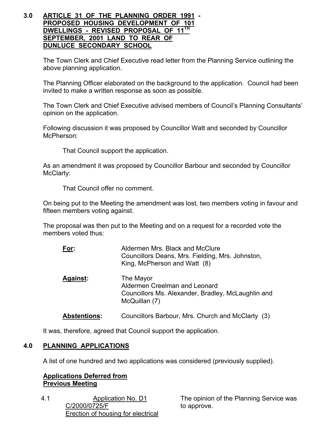#### **3.0 ARTICLE 31 OF THE PLANNING ORDER 1991 - PROPOSED HOUSING DEVELOPMENT OF 101 DWELLINGS - REVISED PROPOSAL OF 11TH SEPTEMBER, 2001 LAND TO REAR OF DUNLUCE SECONDARY SCHOOL**

The Town Clerk and Chief Executive read letter from the Planning Service outlining the above planning application.

 The Planning Officer elaborated on the background to the application. Council had been invited to make a written response as soon as possible.

 The Town Clerk and Chief Executive advised members of Council's Planning Consultants' opinion on the application.

 Following discussion it was proposed by Councillor Watt and seconded by Councillor McPherson:

That Council support the application.

 As an amendment it was proposed by Councillor Barbour and seconded by Councillor McClarty:

That Council offer no comment.

 On being put to the Meeting the amendment was lost, two members voting in favour and fifteen members voting against.

 The proposal was then put to the Meeting and on a request for a recorded vote the members voted thus:

| For:                | Aldermen Mrs. Black and McClure<br>Councillors Deans, Mrs. Fielding, Mrs. Johnston,<br>King, McPherson and Watt (8) |
|---------------------|---------------------------------------------------------------------------------------------------------------------|
| <b>Against:</b>     | The Mayor<br>Aldermen Creelman and Leonard<br>Councillors Ms. Alexander, Bradley, McLaughlin and<br>McQuillan (7)   |
| <b>Abstentions:</b> | Councillors Barbour, Mrs. Church and McClarty (3)                                                                   |

It was, therefore, agreed that Council support the application.

## **4.0 PLANNING APPLICATIONS**

A list of one hundred and two applications was considered (previously supplied).

#### **Applications Deferred from Previous Meeting**

4.1 Application No. D1 C/2000/0725/F Erection of housing for electrical

The opinion of the Planning Service was to approve.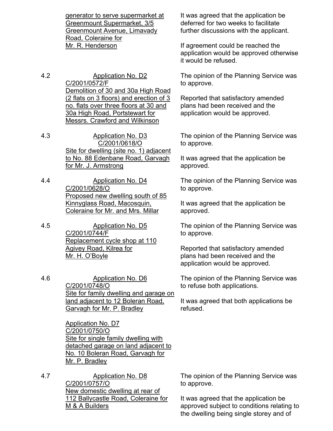generator to serve supermarket at Greenmount Supermarket, 3/5 Greenmount Avenue, Limavady Road, Coleraine for Mr. R. Henderson

- 4.2 Application No. D2 C/2001/0572/F Demolition of 30 and 30a High Road (2 flats on 3 floors) and erection of 3 no. flats over three floors at 30 and 30a High Road, Portstewart for Messrs. Crawford and Wilkinson
- 4.3 Application No. D3 C/2001/0618/O Site for dwelling (site no. 1) adjacent to No. 88 Edenbane Road, Garvagh for Mr. J. Armstrong
- 4.4 Application No. D4 C/2001/0628/O Proposed new dwelling south of 85 Kinnyglass Road, Macosquin, Coleraine for Mr. and Mrs. Millar
- 4.5 Application No. D5 C/2001/0744/F Replacement cycle shop at 110 Agivey Road, Kilrea for Mr. H. O'Boyle
- 4.6 Application No. D6 C/2001/0748/O Site for family dwelling and garage on land adjacent to 12 Boleran Road, Garvagh for Mr. P. Bradley

Application No. D7 C/2001/0750/O Site for single family dwelling with detached garage on land adjacent to No. 10 Boleran Road, Garvagh for Mr. P. Bradley

4.7 Application No. D8 C/2001/0757/O New domestic dwelling at rear of 112 Ballycastle Road, Coleraine for M & A Builders

It was agreed that the application be deferred for two weeks to facilitate further discussions with the applicant.

If agreement could be reached the application would be approved otherwise it would be refused.

The opinion of the Planning Service was to approve.

Reported that satisfactory amended plans had been received and the application would be approved.

The opinion of the Planning Service was to approve.

It was agreed that the application be approved.

The opinion of the Planning Service was to approve.

It was agreed that the application be approved.

The opinion of the Planning Service was to approve.

Reported that satisfactory amended plans had been received and the application would be approved.

The opinion of the Planning Service was to refuse both applications.

It was agreed that both applications be refused.

The opinion of the Planning Service was to approve.

It was agreed that the application be approved subject to conditions relating to the dwelling being single storey and of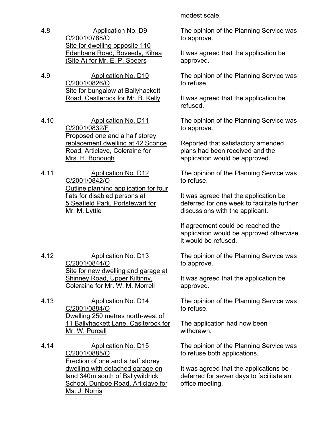- 4.8 Application No. D9 C/2001/0788/O Site for dwelling opposite 110 Edenbane Road, Boveedy, Kilrea (Site A) for Mr. E. P. Speers
- 4.9 Application No. D10 C/2001/0826/O Site for bungalow at Ballyhackett Road, Castlerock for Mr. B. Kelly
- 4.10 Application No. D11 C/2001/0832/F Proposed one and a half storey replacement dwelling at 42 Sconce Road, Articlave, Coleraine for Mrs. H. Bonough
- 4.11 Application No. D12 C/2001/0842/O Outline planning application for four flats for disabled persons at 5 Seafield Park, Portstewart for Mr. M. Lyttle
- 4.12 Application No. D13 C/2001/0844/O Site for new dwelling and garage at Shinney Road, Upper Kiltinny, Coleraine for Mr. W. M. Morrell
- 4.13 Application No. D14 C/2001/0884/O Dwelling 250 metres north-west of 11 Ballyhackett Lane, Caslterock for Mr. W. Purcell
- 4.14 Application No. D15 C/2001/0885/O Erection of one and a half storey dwelling with detached garage on land 340m south of Ballywildrick School, Dunboe Road, Articlave for Ms. J. Norris

modest scale.

The opinion of the Planning Service was to approve.

It was agreed that the application be approved.

The opinion of the Planning Service was to refuse.

It was agreed that the application be refused.

The opinion of the Planning Service was to approve.

Reported that satisfactory amended plans had been received and the application would be approved.

The opinion of the Planning Service was to refuse.

It was agreed that the application be deferred for one week to facilitate further discussions with the applicant.

If agreement could be reached the application would be approved otherwise it would be refused.

The opinion of the Planning Service was to approve.

It was agreed that the application be approved.

The opinion of the Planning Service was to refuse.

The application had now been withdrawn.

The opinion of the Planning Service was to refuse both applications.

It was agreed that the applications be deferred for seven days to facilitate an office meeting.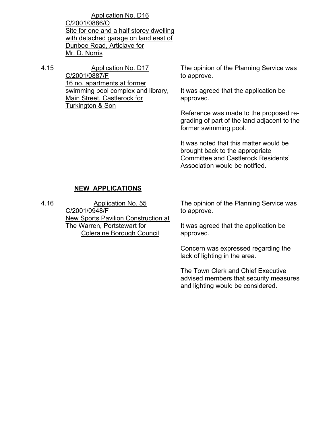Application No. D16 C/2001/0886/O Site for one and a half storey dwelling with detached garage on land east of Dunboe Road, Articlave for Mr. D. Norris

4.15 Application No. D17 C/2001/0887/F 16 no. apartments at former swimming pool complex and library, Main Street, Castlerock for Turkington & Son

The opinion of the Planning Service was to approve.

It was agreed that the application be approved.

Reference was made to the proposed regrading of part of the land adjacent to the former swimming pool.

It was noted that this matter would be brought back to the appropriate Committee and Castlerock Residents' Association would be notified.

## **NEW APPLICATIONS**

4.16 Application No. 55 C/2001/0948/F New Sports Pavilion Construction at The Warren, Portstewart for Coleraine Borough Council

The opinion of the Planning Service was to approve.

It was agreed that the application be approved.

Concern was expressed regarding the lack of lighting in the area.

The Town Clerk and Chief Executive advised members that security measures and lighting would be considered.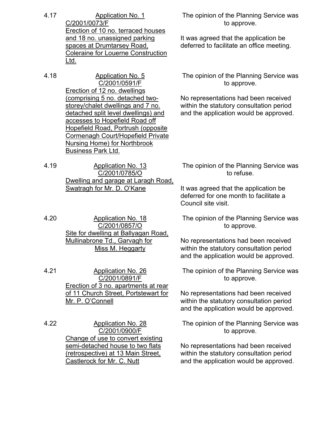4.17 Application No. 1 C/2001/0073/F Erection of 10 no. terraced houses and 18 no. unassigned parking spaces at Drumtarsey Road, Coleraine for Louerne Construction Ltd.

4.18 Application No. 5 C/2001/0591/F Erection of 12 no. dwellings (comprising 5 no. detached twostorey/chalet dwellings and 7 no. detached split level dwellings) and accesses to Hopefield Road off Hopefield Road, Portrush (opposite Cormenagh Court/Hopefield Private Nursing Home) for Northbrook Business Park Ltd.

4.19 Application No. 13 C/2001/0785/O Dwelling and garage at Laragh Road, Swatragh for Mr. D. O'Kane

4.20 Application No. 18 C/2001/0857/O Site for dwelling at Ballyagan Road, Mullinabrone Td., Garvagh for Miss M. Heggarty

4.21 Application No. 26 C/2001/0891/F Erection of 3 no. apartments at rear of 11 Church Street, Portstewart for Mr. P. O'Connell

4.22 Application No. 28 C/2001/0900/F Change of use to convert existing semi-detached house to two flats (retrospective) at 13 Main Street, Castlerock for Mr. C. Nutt

The opinion of the Planning Service was to approve.

It was agreed that the application be deferred to facilitate an office meeting.

The opinion of the Planning Service was to approve.

No representations had been received within the statutory consultation period and the application would be approved.

The opinion of the Planning Service was to refuse.

It was agreed that the application be deferred for one month to facilitate a Council site visit.

The opinion of the Planning Service was to approve.

No representations had been received within the statutory consultation period and the application would be approved.

The opinion of the Planning Service was to approve.

No representations had been received within the statutory consultation period and the application would be approved.

The opinion of the Planning Service was to approve.

No representations had been received within the statutory consultation period and the application would be approved.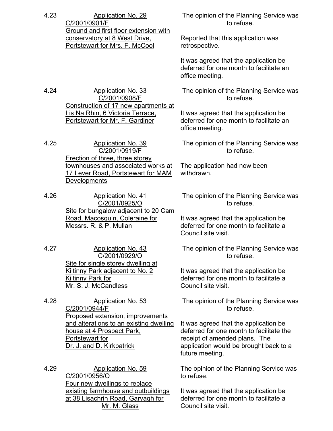| 4.23 | <b>Application No. 29</b><br>C/2001/0901/F                                                                                                               | The opinion of the Planning Service was<br>to refuse.                                                                                                                           |
|------|----------------------------------------------------------------------------------------------------------------------------------------------------------|---------------------------------------------------------------------------------------------------------------------------------------------------------------------------------|
|      | Ground and first floor extension with<br>conservatory at 8 West Drive,<br>Portstewart for Mrs. F. McCool                                                 | Reported that this application was<br>retrospective.                                                                                                                            |
|      |                                                                                                                                                          | It was agreed that the application be<br>deferred for one month to facilitate an<br>office meeting.                                                                             |
| 4.24 | <b>Application No. 33</b><br>C/2001/0908/F                                                                                                               | The opinion of the Planning Service was<br>to refuse.                                                                                                                           |
|      | Construction of 17 new apartments at<br>Lis Na Rhin, 6 Victoria Terrace,<br>Portstewart for Mr. F. Gardiner                                              | It was agreed that the application be<br>deferred for one month to facilitate an<br>office meeting.                                                                             |
| 4.25 | <b>Application No. 39</b><br>C/2001/0919/F<br>Erection of three, three storey                                                                            | The opinion of the Planning Service was<br>to refuse.                                                                                                                           |
|      | townhouses and associated works at<br>17 Lever Road, Portstewart for MAM<br><b>Developments</b>                                                          | The application had now been<br>withdrawn.                                                                                                                                      |
| 4.26 | <b>Application No. 41</b><br>C/2001/0925/O<br>Site for bungalow adjacent to 20 Cam                                                                       | The opinion of the Planning Service was<br>to refuse.                                                                                                                           |
|      | Road, Macosquin, Coleraine for<br>Messrs. R. & P. Mullan                                                                                                 | It was agreed that the application be<br>deferred for one month to facilitate a<br>Council site visit.                                                                          |
| 4.27 | <b>Application No. 43</b><br>C/2001/0929/O                                                                                                               | The opinion of the Planning Service was<br>to refuse.                                                                                                                           |
|      | Site for single storey dwelling at<br>Kiltinny Park adjacent to No. 2<br><b>Kiltinny Park for</b><br>Mr. S. J. McCandless                                | It was agreed that the application be<br>deferred for one month to facilitate a<br>Council site visit.                                                                          |
| 4.28 | Application No. 53<br>C/2001/0944/F                                                                                                                      | The opinion of the Planning Service was<br>to refuse.                                                                                                                           |
|      | Proposed extension, improvements<br>and alterations to an existing dwelling<br>house at 4 Prospect Park,<br>Portstewart for<br>Dr. J. and D. Kirkpatrick | It was agreed that the application be<br>deferred for one month to facilitate the<br>receipt of amended plans. The<br>application would be brought back to a<br>future meeting. |
| 4.29 | <b>Application No. 59</b><br>C/2001/0956/O<br>Four new dwellings to replace                                                                              | The opinion of the Planning Service was<br>to refuse.                                                                                                                           |
|      | existing farmhouse and outbuildings<br>at 38 Lisachrin Road, Garvagh for<br>Mr. M. Glass                                                                 | It was agreed that the application be<br>deferred for one month to facilitate a<br>Council site visit.                                                                          |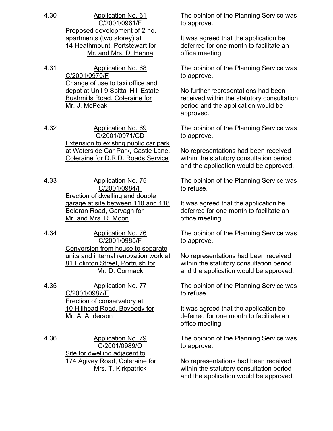- 4.30 Application No. 61 C/2001/0961/F Proposed development of 2 no. apartments (two storey) at 14 Heathmount, Portstewart for Mr. and Mrs. D. Hanna
- 4.31 Application No. 68 C/2001/0970/F Change of use to taxi office and depot at Unit 9 Spittal Hill Estate, Bushmills Road, Coleraine for Mr. J. McPeak
- 4.32 Application No. 69 C/2001/0971/CD Extension to existing public car park at Waterside Car Park, Castle Lane, Coleraine for D.R.D. Roads Service
- 4.33 Application No. 75 C/2001/0984/F Erection of dwelling and double garage at site between 110 and 118 Boleran Road, Garvagh for Mr. and Mrs. R. Moon
- 4.34 Application No. 76 C/2001/0985/F Conversion from house to separate units and internal renovation work at 81 Eglinton Street, Portrush for Mr. D. Cormack
- 4.35 Application No. 77 C/2001/0987/F Erection of conservatory at 10 Hillhead Road, Boveedy for Mr. A. Anderson
- 4.36 Application No. 79 C/2001/0989/O Site for dwelling adjacent to 174 Agivey Road, Coleraine for Mrs. T. Kirkpatrick

The opinion of the Planning Service was to approve.

It was agreed that the application be deferred for one month to facilitate an office meeting.

The opinion of the Planning Service was to approve.

No further representations had been received within the statutory consultation period and the application would be approved.

The opinion of the Planning Service was to approve.

No representations had been received within the statutory consultation period and the application would be approved.

The opinion of the Planning Service was to refuse.

It was agreed that the application be deferred for one month to facilitate an office meeting.

The opinion of the Planning Service was to approve.

No representations had been received within the statutory consultation period and the application would be approved.

The opinion of the Planning Service was to refuse.

It was agreed that the application be deferred for one month to facilitate an office meeting.

The opinion of the Planning Service was to approve.

No representations had been received within the statutory consultation period and the application would be approved.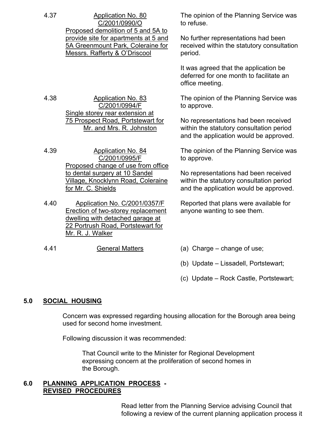| 4.37<br><b>Application No. 80</b><br>C/2001/0990/O<br>Proposed demolition of 5 and 5A to<br>Messrs. Rafferty & O'Driscool |                                                                                                                                                                  | The opinion of the Planning Service was<br>to refuse.                                                                      |
|---------------------------------------------------------------------------------------------------------------------------|------------------------------------------------------------------------------------------------------------------------------------------------------------------|----------------------------------------------------------------------------------------------------------------------------|
|                                                                                                                           | provide site for apartments at 5 and<br>5A Greenmount Park, Coleraine for                                                                                        | No further representations had been<br>received within the statutory consultation<br>period.                               |
|                                                                                                                           |                                                                                                                                                                  | It was agreed that the application be<br>deferred for one month to facilitate an<br>office meeting.                        |
| 4.38                                                                                                                      | <b>Application No. 83</b><br>C/2001/0994/F<br>Single storey rear extension at                                                                                    | The opinion of the Planning Service was<br>to approve.                                                                     |
|                                                                                                                           | 75 Prospect Road, Portstewart for<br>Mr. and Mrs. R. Johnston                                                                                                    | No representations had been received<br>within the statutory consultation period<br>and the application would be approved. |
| 4.39                                                                                                                      | <b>Application No. 84</b><br>C/2001/0995/F<br>Proposed change of use from office                                                                                 | The opinion of the Planning Service was<br>to approve.                                                                     |
|                                                                                                                           | to dental surgery at 10 Sandel<br>Village, Knocklynn Road, Coleraine<br>for Mr. C. Shields                                                                       | No representations had been received<br>within the statutory consultation period<br>and the application would be approved. |
| 4.40                                                                                                                      | Application No. C/2001/0357/F<br>Erection of two-storey replacement<br>dwelling with detached garage at<br>22 Portrush Road, Portstewart for<br>Mr. R. J. Walker | Reported that plans were available for<br>anyone wanting to see them.                                                      |
| 4.41                                                                                                                      | <b>General Matters</b>                                                                                                                                           | (a) Charge – change of use;                                                                                                |
|                                                                                                                           |                                                                                                                                                                  | (b) Update - Lissadell, Portstewart;                                                                                       |

(c) Update – Rock Castle, Portstewart;

## **5.0 SOCIAL HOUSING**

 Concern was expressed regarding housing allocation for the Borough area being used for second home investment.

Following discussion it was recommended:

 That Council write to the Minister for Regional Development expressing concern at the proliferation of second homes in the Borough.

## **6.0 PLANNING APPLICATION PROCESS - REVISED PROCEDURES**

 Read letter from the Planning Service advising Council that following a review of the current planning application process it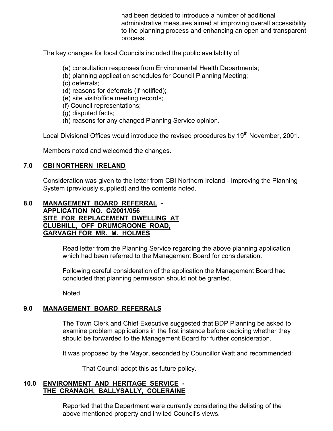had been decided to introduce a number of additional administrative measures aimed at improving overall accessibility to the planning process and enhancing an open and transparent process.

The key changes for local Councils included the public availability of:

- (a) consultation responses from Environmental Health Departments;
- (b) planning application schedules for Council Planning Meeting;
- (c) deferrals;
- (d) reasons for deferrals (if notified);
- (e) site visit/office meeting records;
- (f) Council representations;
- (g) disputed facts;
- (h) reasons for any changed Planning Service opinion.

Local Divisional Offices would introduce the revised procedures by 19<sup>th</sup> November, 2001.

Members noted and welcomed the changes.

# **7.0 CBI NORTHERN IRELAND**

 Consideration was given to the letter from CBI Northern Ireland - Improving the Planning System (previously supplied) and the contents noted.

#### **8.0 MANAGEMENT BOARD REFERRAL - APPLICATION NO. C/2001/056 SITE FOR REPLACEMENT DWELLING AT CLUBHILL, OFF DRUMCROONE ROAD, GARVAGH FOR MR. M. HOLMES**

 Read letter from the Planning Service regarding the above planning application which had been referred to the Management Board for consideration.

 Following careful consideration of the application the Management Board had concluded that planning permission should not be granted.

Noted.

# **9.0 MANAGEMENT BOARD REFERRALS**

 The Town Clerk and Chief Executive suggested that BDP Planning be asked to examine problem applications in the first instance before deciding whether they should be forwarded to the Management Board for further consideration.

It was proposed by the Mayor, seconded by Councillor Watt and recommended:

That Council adopt this as future policy.

## **10.0 ENVIRONMENT AND HERITAGE SERVICE - THE CRANAGH, BALLYSALLY, COLERAINE**

 Reported that the Department were currently considering the delisting of the above mentioned property and invited Council's views.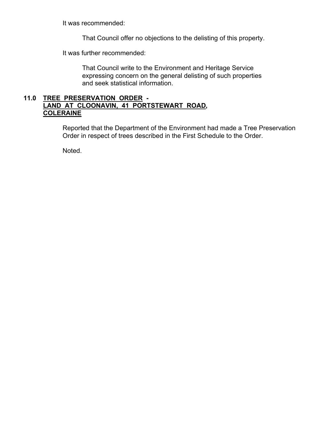It was recommended:

That Council offer no objections to the delisting of this property.

It was further recommended:

 That Council write to the Environment and Heritage Service expressing concern on the general delisting of such properties and seek statistical information.

## **11.0 TREE PRESERVATION ORDER - LAND AT CLOONAVIN, 41 PORTSTEWART ROAD, COLERAINE**

Reported that the Department of the Environment had made a Tree Preservation Order in respect of trees described in the First Schedule to the Order.

Noted.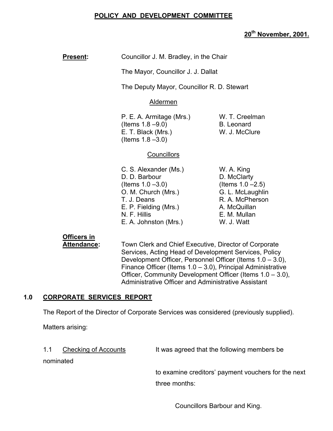## **POLICY AND DEVELOPMENT COMMITTEE**

## **20th November, 2001.**

| Councillor J. M. Bradley, in the Chair |
|----------------------------------------|
|                                        |

The Mayor, Councillor J. J. Dallat

The Deputy Mayor, Councillor R. D. Stewart

#### Aldermen

P. E. A. Armitage (Mrs.) W. T. Creelman  $($ ltems  $1.8 - 9.0$ ) B. Leonard E. T. Black (Mrs.) W. J. McClure (Items 1.8 –3.0)

#### **Councillors**

C. S. Alexander (Ms.) W. A. King D. D. Barbour D. McClarty  $($ ltems 1.0 –3.0) (Items 1.0 –2.5) O. M. Church (Mrs.) G. L. McLaughlin T. J. Deans R. A. McPherson E. P. Fielding (Mrs.) A. McQuillan N. F. Hillis E. M. Mullan E. A. Johnston (Mrs.) W. J. Watt

# **Officers in**

Attendance: Town Clerk and Chief Executive, Director of Corporate Services, Acting Head of Development Services, Policy Development Officer, Personnel Officer (Items 1.0 – 3.0), Finance Officer (Items 1.0 – 3.0), Principal Administrative Officer, Community Development Officer (Items 1.0 – 3.0), Administrative Officer and Administrative Assistant

## **1.0 CORPORATE SERVICES REPORT**

The Report of the Director of Corporate Services was considered (previously supplied).

Matters arising:

1.1 Checking of Accounts It was agreed that the following members be

nominated

 to examine creditors' payment vouchers for the next three months:

Councillors Barbour and King.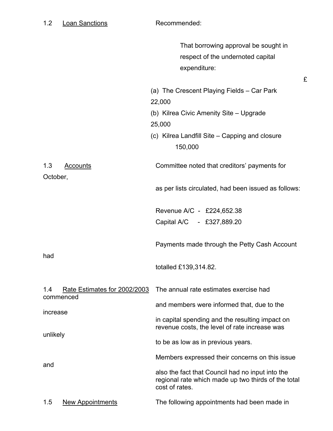|                                                  | That borrowing approval be sought in<br>respect of the undernoted capital<br>expenditure:<br>£                            |
|--------------------------------------------------|---------------------------------------------------------------------------------------------------------------------------|
|                                                  | (a) The Crescent Playing Fields - Car Park<br>22,000                                                                      |
|                                                  | (b) Kilrea Civic Amenity Site – Upgrade<br>25,000                                                                         |
|                                                  | (c) Kilrea Landfill Site – Capping and closure<br>150,000                                                                 |
| 1.3<br><b>Accounts</b><br>October,               | Committee noted that creditors' payments for                                                                              |
|                                                  | as per lists circulated, had been issued as follows:                                                                      |
|                                                  | Revenue A/C - £224,652.38                                                                                                 |
|                                                  | Capital A/C - £327,889.20                                                                                                 |
|                                                  | Payments made through the Petty Cash Account                                                                              |
| had                                              | totalled £139,314.82.                                                                                                     |
| Rate Estimates for 2002/2003<br>1.4<br>commenced | The annual rate estimates exercise had                                                                                    |
|                                                  | and members were informed that, due to the                                                                                |
| increase<br>unlikely                             | in capital spending and the resulting impact on<br>revenue costs, the level of rate increase was                          |
|                                                  | to be as low as in previous years.                                                                                        |
|                                                  | Members expressed their concerns on this issue                                                                            |
| and                                              | also the fact that Council had no input into the<br>regional rate which made up two thirds of the total<br>cost of rates. |
| 1.5<br><b>New Appointments</b>                   | The following appointments had been made in                                                                               |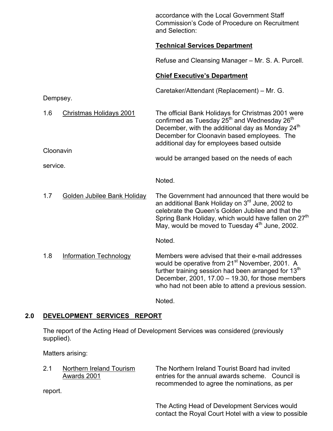|          |                                | accordance with the Local Government Staff<br><b>Commission's Code of Procedure on Recruitment</b><br>and Selection:                                                                                                                                                                                   |
|----------|--------------------------------|--------------------------------------------------------------------------------------------------------------------------------------------------------------------------------------------------------------------------------------------------------------------------------------------------------|
|          |                                | <b>Technical Services Department</b>                                                                                                                                                                                                                                                                   |
|          |                                | Refuse and Cleansing Manager – Mr. S. A. Purcell.                                                                                                                                                                                                                                                      |
|          |                                | <b>Chief Executive's Department</b>                                                                                                                                                                                                                                                                    |
|          | Dempsey.                       | Caretaker/Attendant (Replacement) - Mr. G.                                                                                                                                                                                                                                                             |
| 1.6      | <b>Christmas Holidays 2001</b> | The official Bank Holidays for Christmas 2001 were<br>confirmed as Tuesday 25 <sup>th</sup> and Wednesday 26 <sup>th</sup><br>December, with the additional day as Monday 24 <sup>th</sup><br>December for Cloonavin based employees. The<br>additional day for employees based outside                |
| service. | Cloonavin                      | would be arranged based on the needs of each                                                                                                                                                                                                                                                           |
|          |                                | Noted.                                                                                                                                                                                                                                                                                                 |
| 1.7      | Golden Jubilee Bank Holiday    | The Government had announced that there would be<br>an additional Bank Holiday on 3 <sup>rd</sup> June, 2002 to<br>celebrate the Queen's Golden Jubilee and that the<br>Spring Bank Holiday, which would have fallen on 27 <sup>th</sup><br>May, would be moved to Tuesday 4 <sup>th</sup> June, 2002. |
|          |                                | Noted.                                                                                                                                                                                                                                                                                                 |
| 1.8      | <b>Information Technology</b>  | Members were advised that their e-mail addresses<br>would be operative from 21 <sup>st</sup> November, 2001. A<br>further training session had been arranged for 13 <sup>th</sup><br>December, 2001, 17.00 - 19.30, for those members<br>who had not been able to attend a previous session.           |

Noted.

## **2.0 DEVELOPMENT SERVICES REPORT**

The report of the Acting Head of Development Services was considered (previously supplied).

Matters arising:

2.1 Northern Ireland Tourism The Northern Ireland Tourist Board had invited<br>Awards 2001 entries for the annual awards scheme. Counci entries for the annual awards scheme. Council is recommended to agree the nominations, as per

report.

 The Acting Head of Development Services would contact the Royal Court Hotel with a view to possible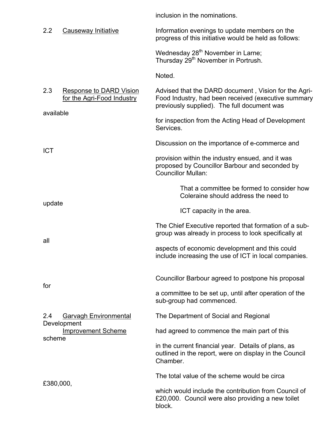inclusion in the nominations.

| 2.2<br>Causeway Initiative                                                       | Information evenings to update members on the<br>progress of this initiative would be held as follows:                                                     |
|----------------------------------------------------------------------------------|------------------------------------------------------------------------------------------------------------------------------------------------------------|
|                                                                                  | Wednesday 28 <sup>th</sup> November in Larne;<br>Thursday 29 <sup>th</sup> November in Portrush.                                                           |
|                                                                                  | Noted.                                                                                                                                                     |
| 2.3<br><b>Response to DARD Vision</b><br>for the Agri-Food Industry<br>available | Advised that the DARD document, Vision for the Agri-<br>Food Industry, had been received (executive summary<br>previously supplied). The full document was |
|                                                                                  | for inspection from the Acting Head of Development<br>Services.                                                                                            |
|                                                                                  | Discussion on the importance of e-commerce and                                                                                                             |
| <b>ICT</b>                                                                       | provision within the industry ensued, and it was<br>proposed by Councillor Barbour and seconded by<br><b>Councillor Mullan:</b>                            |
|                                                                                  | That a committee be formed to consider how<br>Coleraine should address the need to                                                                         |
| update                                                                           | ICT capacity in the area.                                                                                                                                  |
|                                                                                  | The Chief Executive reported that formation of a sub-<br>group was already in process to look specifically at                                              |
| all                                                                              | aspects of economic development and this could<br>include increasing the use of ICT in local companies.                                                    |
| for                                                                              | Councillor Barbour agreed to postpone his proposal                                                                                                         |
|                                                                                  | a committee to be set up, until after operation of the<br>sub-group had commenced.                                                                         |
| 2.4<br><b>Garvagh Environmental</b>                                              | The Department of Social and Regional                                                                                                                      |
| Development<br><b>Improvement Scheme</b><br>scheme                               | had agreed to commence the main part of this                                                                                                               |
|                                                                                  | in the current financial year. Details of plans, as<br>outlined in the report, were on display in the Council<br>Chamber.                                  |
|                                                                                  | The total value of the scheme would be circa                                                                                                               |
| £380,000,                                                                        | which would include the contribution from Council of<br>£20,000. Council were also providing a new toilet<br>block.                                        |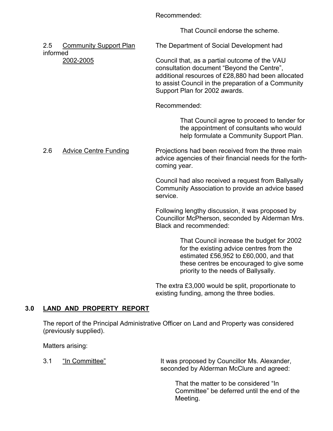Recommended:

That Council endorse the scheme.

2.5 Community Support Plan The Department of Social Development had informed 2002-2005 Council that, as a partial outcome of the VAU consultation document "Beyond the Centre", additional resources of £28,880 had been allocated to assist Council in the preparation of a Community Support Plan for 2002 awards. Recommended: That Council agree to proceed to tender for the appointment of consultants who would help formulate a Community Support Plan. 2.6 Advice Centre Funding Projections had been received from the three main advice agencies of their financial needs for the forth coming year. Council had also received a request from Ballysally Community Association to provide an advice based service. Following lengthy discussion, it was proposed by Councillor McPherson, seconded by Alderman Mrs. Black and recommended:

> That Council increase the budget for 2002 for the existing advice centres from the estimated £56,952 to £60,000, and that these centres be encouraged to give some priority to the needs of Ballysally.

 The extra £3,000 would be split, proportionate to existing funding, among the three bodies.

# **3.0 LAND AND PROPERTY REPORT**

 The report of the Principal Administrative Officer on Land and Property was considered (previously supplied).

Matters arising:

3.1 "In Committee" It was proposed by Councillor Ms. Alexander, seconded by Alderman McClure and agreed:

> That the matter to be considered "In Committee" be deferred until the end of the Meeting.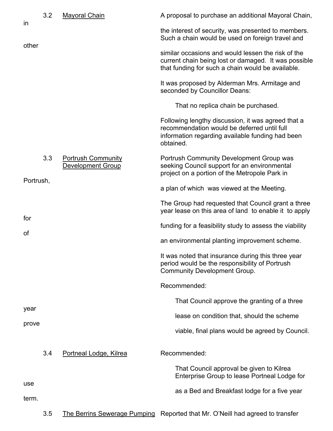| in        | 3.2 | <b>Mayoral Chain</b>                           | A proposal to purchase an additional Mayoral Chain,                                                                                                                |
|-----------|-----|------------------------------------------------|--------------------------------------------------------------------------------------------------------------------------------------------------------------------|
|           |     |                                                | the interest of security, was presented to members.<br>Such a chain would be used on foreign travel and                                                            |
| other     |     |                                                | similar occasions and would lessen the risk of the<br>current chain being lost or damaged. It was possible<br>that funding for such a chain would be available.    |
|           |     |                                                | It was proposed by Alderman Mrs. Armitage and<br>seconded by Councillor Deans:                                                                                     |
|           |     |                                                | That no replica chain be purchased.                                                                                                                                |
|           |     |                                                | Following lengthy discussion, it was agreed that a<br>recommendation would be deferred until full<br>information regarding available funding had been<br>obtained. |
|           | 3.3 | <b>Portrush Community</b><br>Development Group | Portrush Community Development Group was<br>seeking Council support for an environmental<br>project on a portion of the Metropole Park in                          |
| Portrush, |     |                                                | a plan of which was viewed at the Meeting.                                                                                                                         |
|           |     |                                                | The Group had requested that Council grant a three<br>year lease on this area of land to enable it to apply                                                        |
| for       |     |                                                | funding for a feasibility study to assess the viability                                                                                                            |
| οf        |     |                                                | an environmental planting improvement scheme.                                                                                                                      |
|           |     |                                                | It was noted that insurance during this three year<br>period would be the responsibility of Portrush<br><b>Community Development Group.</b>                        |
|           |     |                                                | Recommended:                                                                                                                                                       |
|           |     |                                                | That Council approve the granting of a three                                                                                                                       |
| year      |     |                                                | lease on condition that, should the scheme                                                                                                                         |
| prove     |     |                                                | viable, final plans would be agreed by Council.                                                                                                                    |
|           | 3.4 | Portneal Lodge, Kilrea                         | Recommended:                                                                                                                                                       |
|           |     |                                                | That Council approval be given to Kilrea<br>Enterprise Group to lease Portneal Lodge for                                                                           |
| use       |     |                                                | as a Bed and Breakfast lodge for a five year                                                                                                                       |
| term.     |     |                                                |                                                                                                                                                                    |
|           | 3.5 | The Berrins Sewerage Pumping                   | Reported that Mr. O'Neill had agreed to transfer                                                                                                                   |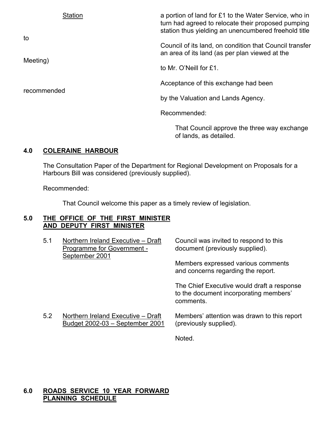| <b>Station</b> | a portion of land for £1 to the Water Service, who in<br>turn had agreed to relocate their proposed pumping |
|----------------|-------------------------------------------------------------------------------------------------------------|
| to             | station thus yielding an unencumbered freehold title                                                        |
|                | Council of its land, on condition that Council transfer<br>an area of its land (as per plan viewed at the   |
| Meeting)       | to Mr. O'Neill for £1.                                                                                      |
|                | Acceptance of this exchange had been                                                                        |
| recommended    | by the Valuation and Lands Agency.                                                                          |
|                | Recommended:                                                                                                |
|                | That Council approve the three way exchange                                                                 |

## **4.0 COLERAINE HARBOUR**

The Consultation Paper of the Department for Regional Development on Proposals for a Harbours Bill was considered (previously supplied).

of lands, as detailed.

Recommended:

That Council welcome this paper as a timely review of legislation.

## **5.0 THE OFFICE OF THE FIRST MINISTER AND DEPUTY FIRST MINISTER**

| 5.1 | Northern Ireland Executive - Draft<br>Programme for Government -<br>September 2001 | Council was invited to respond to this<br>document (previously supplied).                         |
|-----|------------------------------------------------------------------------------------|---------------------------------------------------------------------------------------------------|
|     |                                                                                    | Members expressed various comments<br>and concerns regarding the report.                          |
|     |                                                                                    | The Chief Executive would draft a response<br>to the document incorporating members'<br>comments. |
| 5.2 | Northern Ireland Executive - Draft<br>Budget 2002-03 - September 2001              | Members' attention was drawn to this report<br>(previously supplied).                             |
|     |                                                                                    | Noted.                                                                                            |

## **6.0 ROADS SERVICE 10 YEAR FORWARD PLANNING SCHEDULE**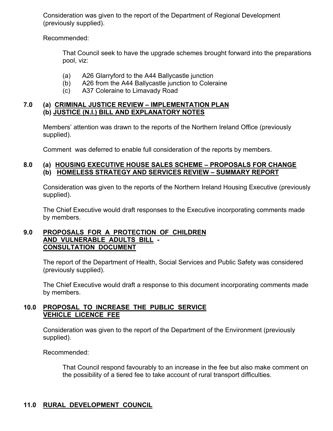Consideration was given to the report of the Department of Regional Development (previously supplied).

Recommended:

 That Council seek to have the upgrade schemes brought forward into the preparations pool, viz:

- (a) A26 Glarryford to the A44 Ballycastle junction
- (b) A26 from the A44 Ballycastle junction to Coleraine
- (c) A37 Coleraine to Limavady Road

## **7.0 (a) CRIMINAL JUSTICE REVIEW – IMPLEMENTATION PLAN (b) JUSTICE (N.I.) BILL AND EXPLANATORY NOTES**

Members' attention was drawn to the reports of the Northern Ireland Office (previously supplied).

Comment was deferred to enable full consideration of the reports by members.

## **8.0 (a) HOUSING EXECUTIVE HOUSE SALES SCHEME – PROPOSALS FOR CHANGE (b) HOMELESS STRATEGY AND SERVICES REVIEW – SUMMARY REPORT**

Consideration was given to the reports of the Northern Ireland Housing Executive (previously supplied).

The Chief Executive would draft responses to the Executive incorporating comments made by members.

### **9.0 PROPOSALS FOR A PROTECTION OF CHILDREN AND VULNERABLE ADULTS BILL - CONSULTATION DOCUMENT**

The report of the Department of Health, Social Services and Public Safety was considered (previously supplied).

The Chief Executive would draft a response to this document incorporating comments made by members.

#### **10.0 PROPOSAL TO INCREASE THE PUBLIC SERVICE VEHICLE LICENCE FEE**

Consideration was given to the report of the Department of the Environment (previously supplied).

Recommended:

 That Council respond favourably to an increase in the fee but also make comment on the possibility of a tiered fee to take account of rural transport difficulties.

# **11.0 RURAL DEVELOPMENT COUNCIL**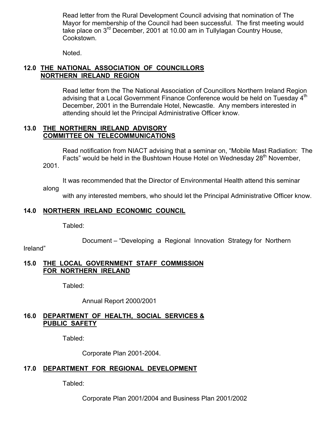Read letter from the Rural Development Council advising that nomination of The Mayor for membership of the Council had been successful. The first meeting would take place on 3rd December, 2001 at 10.00 am in Tullylagan Country House, Cookstown.

Noted.

## **12.0 THE NATIONAL ASSOCIATION OF COUNCILLORS NORTHERN IRELAND REGION**

 Read letter from the The National Association of Councillors Northern Ireland Region advising that a Local Government Finance Conference would be held on Tuesday  $4<sup>m</sup>$  December, 2001 in the Burrendale Hotel, Newcastle. Any members interested in attending should let the Principal Administrative Officer know.

#### **13.0 THE NORTHERN IRELAND ADVISORY COMMITTEE ON TELECOMMUNICATIONS**

 Read notification from NIACT advising that a seminar on, "Mobile Mast Radiation: The Facts" would be held in the Bushtown House Hotel on Wednesday 28<sup>th</sup> November, 2001.

It was recommended that the Director of Environmental Health attend this seminar

along

with any interested members, who should let the Principal Administrative Officer know.

## **14.0 NORTHERN IRELAND ECONOMIC COUNCIL**

Tabled:

Document – "Developing a Regional Innovation Strategy for Northern

Ireland"

#### **15.0 THE LOCAL GOVERNMENT STAFF COMMISSION FOR NORTHERN IRELAND**

Tabled:

Annual Report 2000/2001

## **16.0 DEPARTMENT OF HEALTH, SOCIAL SERVICES & PUBLIC SAFETY**

Tabled:

Corporate Plan 2001-2004.

## **17.0 DEPARTMENT FOR REGIONAL DEVELOPMENT**

Tabled:

Corporate Plan 2001/2004 and Business Plan 2001/2002